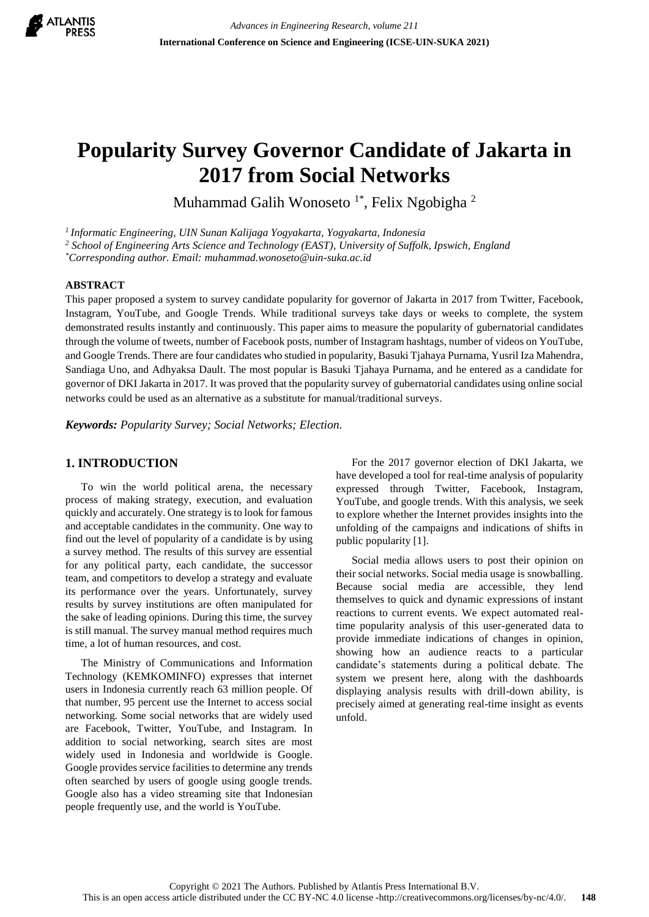

# **Popularity Survey Governor Candidate of Jakarta in 2017 from Social Networks**

Muhammad Galih Wonoseto<sup>1\*</sup>, Felix Ngobigha<sup>2</sup>

*<sup>1</sup>Informatic Engineering, UIN Sunan Kalijaga Yogyakarta, Yogyakarta, Indonesia*

*<sup>2</sup> School of Engineering Arts Science and Technology (EAST), University of Suffolk, Ipswich, England*

*\*Corresponding author. Email: muhammad.wonoseto@uin-suka.ac.id*

### **ABSTRACT**

This paper proposed a system to survey candidate popularity for governor of Jakarta in 2017 from Twitter, Facebook, Instagram, YouTube, and Google Trends. While traditional surveys take days or weeks to complete, the system demonstrated results instantly and continuously. This paper aims to measure the popularity of gubernatorial candidates through the volume of tweets, number of Facebook posts, number of Instagram hashtags, number of videos on YouTube, and Google Trends. There are four candidates who studied in popularity, Basuki Tjahaya Purnama, Yusril Iza Mahendra, Sandiaga Uno, and Adhyaksa Dault. The most popular is Basuki Tjahaya Purnama, and he entered as a candidate for governor of DKI Jakarta in 2017. It was proved that the popularity survey of gubernatorial candidates using online social networks could be used as an alternative as a substitute for manual/traditional surveys.

*Keywords: Popularity Survey; Social Networks; Election.*

## **1. INTRODUCTION**

To win the world political arena, the necessary process of making strategy, execution, and evaluation quickly and accurately. One strategy is to look for famous and acceptable candidates in the community. One way to find out the level of popularity of a candidate is by using a survey method. The results of this survey are essential for any political party, each candidate, the successor team, and competitors to develop a strategy and evaluate its performance over the years. Unfortunately, survey results by survey institutions are often manipulated for the sake of leading opinions. During this time, the survey is still manual. The survey manual method requires much time, a lot of human resources, and cost.

The Ministry of Communications and Information Technology (KEMKOMINFO) expresses that internet users in Indonesia currently reach 63 million people. Of that number, 95 percent use the Internet to access social networking. Some social networks that are widely used are Facebook, Twitter, YouTube, and Instagram. In addition to social networking, search sites are most widely used in Indonesia and worldwide is Google. Google provides service facilities to determine any trends often searched by users of google using google trends. Google also has a video streaming site that Indonesian people frequently use, and the world is YouTube.

For the 2017 governor election of DKI Jakarta, we have developed a tool for real-time analysis of popularity expressed through Twitter, Facebook, Instagram, YouTube, and google trends. With this analysis, we seek to explore whether the Internet provides insights into the unfolding of the campaigns and indications of shifts in public popularity [1].

Social media allows users to post their opinion on their social networks. Social media usage is snowballing. Because social media are accessible, they lend themselves to quick and dynamic expressions of instant reactions to current events. We expect automated realtime popularity analysis of this user-generated data to provide immediate indications of changes in opinion, showing how an audience reacts to a particular candidate's statements during a political debate. The system we present here, along with the dashboards displaying analysis results with drill-down ability, is precisely aimed at generating real-time insight as events unfold.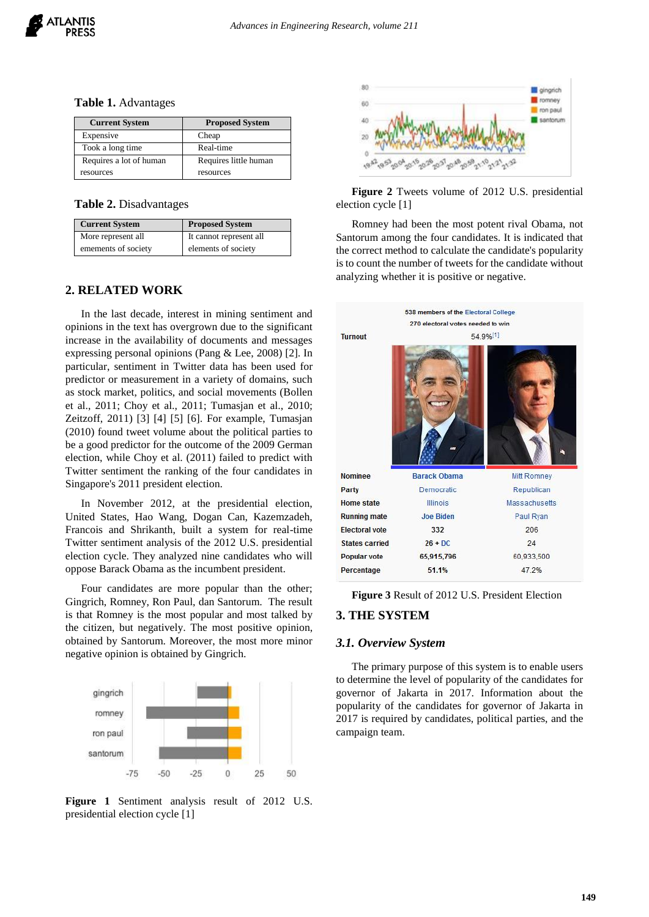|  |  | Table 1. Advantages |
|--|--|---------------------|
|--|--|---------------------|

| <b>Current System</b>   | <b>Proposed System</b> |
|-------------------------|------------------------|
| Expensive               | Cheap                  |
| Took a long time        | Real-time              |
| Requires a lot of human | Requires little human  |
| resources               | resources              |

**Table 2.** Disadvantages

| <b>Current System</b> | <b>Proposed System</b>  |
|-----------------------|-------------------------|
| More represent all    | It cannot represent all |
| emements of society   | elements of society     |

## **2. RELATED WORK**

In the last decade, interest in mining sentiment and opinions in the text has overgrown due to the significant increase in the availability of documents and messages expressing personal opinions (Pang & Lee, 2008) [2]. In particular, sentiment in Twitter data has been used for predictor or measurement in a variety of domains, such as stock market, politics, and social movements (Bollen et al., 2011; Choy et al., 2011; Tumasjan et al., 2010; Zeitzoff, 2011) [3] [4] [5] [6]. For example, Tumasjan (2010) found tweet volume about the political parties to be a good predictor for the outcome of the 2009 German election, while Choy et al. (2011) failed to predict with Twitter sentiment the ranking of the four candidates in Singapore's 2011 president election.

In November 2012, at the presidential election, United States, Hao Wang, Dogan Can, Kazemzadeh, Francois and Shrikanth, built a system for real-time Twitter sentiment analysis of the 2012 U.S. presidential election cycle. They analyzed nine candidates who will oppose Barack Obama as the incumbent president.

Four candidates are more popular than the other; Gingrich, Romney, Ron Paul, dan Santorum. The result is that Romney is the most popular and most talked by the citizen, but negatively. The most positive opinion, obtained by Santorum. Moreover, the most more minor negative opinion is obtained by Gingrich.



**Figure 1** Sentiment analysis result of 2012 U.S. presidential election cycle [1]



**Figure 2** Tweets volume of 2012 U.S. presidential election cycle [1]

Romney had been the most potent rival Obama, not Santorum among the four candidates. It is indicated that the correct method to calculate the candidate's popularity is to count the number of tweets for the candidate without analyzing whether it is positive or negative.



**Figure 3** Result of 2012 U.S. President Election

### **3. THE SYSTEM**

#### *3.1. Overview System*

The primary purpose of this system is to enable users to determine the level of popularity of the candidates for governor of Jakarta in 2017. Information about the popularity of the candidates for governor of Jakarta in 2017 is required by candidates, political parties, and the campaign team.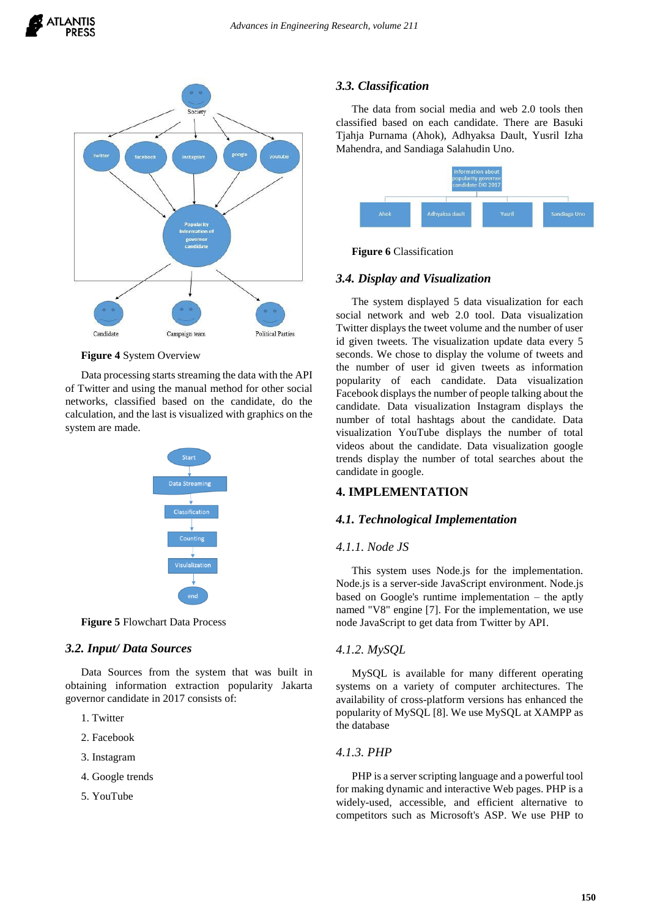

**Figure 4** System Overview

Data processing starts streaming the data with the API of Twitter and using the manual method for other social networks, classified based on the candidate, do the calculation, and the last is visualized with graphics on the system are made.



**Figure 5** Flowchart Data Process

## *3.2. Input/ Data Sources*

Data Sources from the system that was built in obtaining information extraction popularity Jakarta governor candidate in 2017 consists of:

- 1. Twitter
- 2. Facebook
- 3. Instagram
- 4. Google trends
- 5. YouTube

## *3.3. Classification*

The data from social media and web 2.0 tools then classified based on each candidate. There are Basuki Tjahja Purnama (Ahok), Adhyaksa Dault, Yusril Izha Mahendra, and Sandiaga Salahudin Uno.



**Figure 6** Classification

## *3.4. Display and Visualization*

The system displayed 5 data visualization for each social network and web 2.0 tool. Data visualization Twitter displays the tweet volume and the number of user id given tweets. The visualization update data every 5 seconds. We chose to display the volume of tweets and the number of user id given tweets as information popularity of each candidate. Data visualization Facebook displays the number of people talking about the candidate. Data visualization Instagram displays the number of total hashtags about the candidate. Data visualization YouTube displays the number of total videos about the candidate. Data visualization google trends display the number of total searches about the candidate in google.

## **4. IMPLEMENTATION**

## *4.1. Technological Implementation*

#### *4.1.1. Node JS*

This system uses Node.js for the implementation. Node.js is a server-side JavaScript environment. Node.js based on Google's runtime implementation – the aptly named "V8" engine [7]. For the implementation, we use node JavaScript to get data from Twitter by API.

## *4.1.2. MySQL*

MySQL is available for many different operating systems on a variety of computer architectures. The availability of cross-platform versions has enhanced the popularity of MySQL [8]. We use MySQL at XAMPP as the database

#### *4.1.3. PHP*

PHP is a server scripting language and a powerful tool for making dynamic and interactive Web pages. PHP is a widely-used, accessible, and efficient alternative to competitors such as Microsoft's ASP. We use PHP to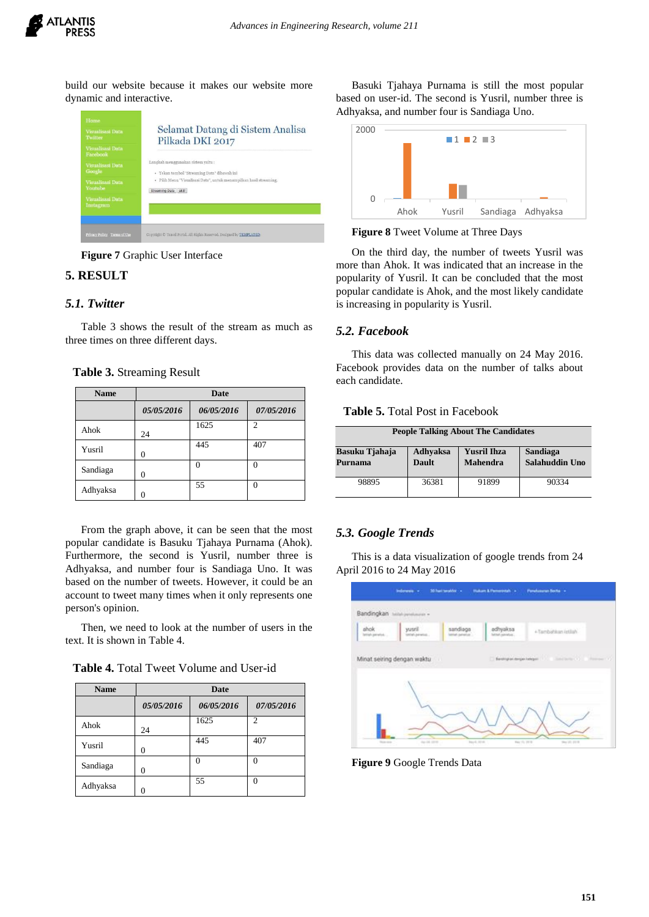

build our website because it makes our website more dynamic and interactive.



**Figure 7** Graphic User Interface

# **5. RESULT**

## *5.1. Twitter*

Table 3 shows the result of the stream as much as three times on three different days.

**Table 3.** Streaming Result

| <b>Name</b> | <b>Date</b>    |            |                |  |
|-------------|----------------|------------|----------------|--|
|             | 05/05/2016     | 06/05/2016 | 07/05/2016     |  |
| Ahok        | 24             | 1625       | $\overline{2}$ |  |
| Yusril      | 0              | 445        | 407            |  |
| Sandiaga    | $\overline{0}$ |            | 0              |  |
| Adhyaksa    | 0              | 55         | $\Omega$       |  |

From the graph above, it can be seen that the most popular candidate is Basuku Tjahaya Purnama (Ahok). Furthermore, the second is Yusril, number three is Adhyaksa, and number four is Sandiaga Uno. It was based on the number of tweets. However, it could be an account to tweet many times when it only represents one person's opinion.

Then, we need to look at the number of users in the text. It is shown in Table 4.

**Table 4.** Total Tweet Volume and User-id

| <b>Name</b> | Date       |            |                |  |
|-------------|------------|------------|----------------|--|
|             | 05/05/2016 | 06/05/2016 | 07/05/2016     |  |
| Ahok        | 24         | 1625       | $\overline{c}$ |  |
| Yusril      | 0          | 445        | 407            |  |
| Sandiaga    | 0          |            |                |  |
| Adhyaksa    |            | 55         | 0              |  |

Basuki Tjahaya Purnama is still the most popular based on user-id. The second is Yusril, number three is Adhyaksa, and number four is Sandiaga Uno.



**Figure 8** Tweet Volume at Three Days

On the third day, the number of tweets Yusril was more than Ahok. It was indicated that an increase in the popularity of Yusril. It can be concluded that the most popular candidate is Ahok, and the most likely candidate is increasing in popularity is Yusril.

## *5.2. Facebook*

This data was collected manually on 24 May 2016. Facebook provides data on the number of talks about each candidate.

#### **Table 5.** Total Post in Facebook

| <b>People Talking About The Candidates</b> |                          |                                       |                            |  |  |
|--------------------------------------------|--------------------------|---------------------------------------|----------------------------|--|--|
| Basuku Tjahaja<br>Purnama                  | Adhyaksa<br><b>Dault</b> | <b>Yusril Ihza</b><br><b>Mahendra</b> | Sandiaga<br>Salahuddin Uno |  |  |
| 98895                                      | 36381                    | 91899                                 | 90334                      |  |  |

## *5.3. Google Trends*

This is a data visualization of google trends from 24 April 2016 to 24 May 2016

|                           | <b>NAMES OF STREET OR OTHER</b><br>Bandingkan hillshjendingen . |                            |                             |                                                                                 |
|---------------------------|-----------------------------------------------------------------|----------------------------|-----------------------------|---------------------------------------------------------------------------------|
| ahok -<br>latial pinetuk. | yusril<br>timitely persensity.                                  | sandiaga<br>man paintings. | adhyaksa<br>better aimeter. | +Tambahian letilah                                                              |
|                           |                                                                 |                            |                             |                                                                                 |
|                           | Minat seiring dengan waktu                                      | ш                          |                             | [] Sentrated to the participant of the control of the control of the control of |
|                           |                                                                 |                            |                             |                                                                                 |
|                           |                                                                 |                            |                             |                                                                                 |
|                           |                                                                 |                            |                             |                                                                                 |

**Figure 9** Google Trends Data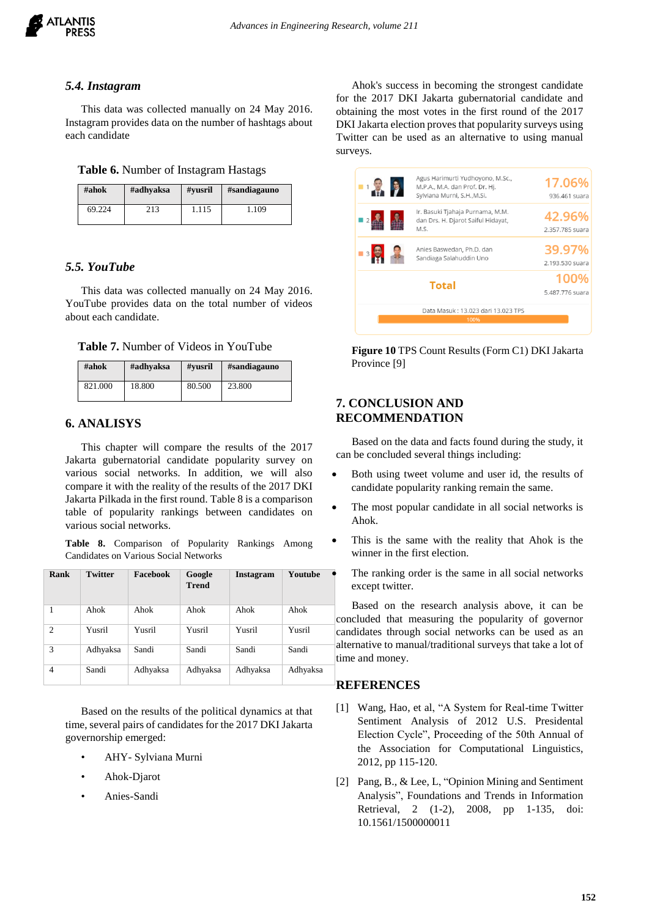

#### *5.4. Instagram*

This data was collected manually on 24 May 2016. Instagram provides data on the number of hashtags about each candidate

#### **Table 6.** Number of Instagram Hastags

| #ahok  | #adhyaksa | #vusril | #sandiagauno |
|--------|-----------|---------|--------------|
| 69.224 | 213       | 1.115   | 1.109        |

## *5.5. YouTube*

This data was collected manually on 24 May 2016. YouTube provides data on the total number of videos about each candidate.

**Table 7.** Number of Videos in YouTube

| #ahok   | #adhvaksa | #vusril | #sandiagauno |
|---------|-----------|---------|--------------|
| 821.000 | 18.800    | 80.500  | 23.800       |

# **6. ANALISYS**

This chapter will compare the results of the 2017 Jakarta gubernatorial candidate popularity survey on various social networks. In addition, we will also compare it with the reality of the results of the 2017 DKI Jakarta Pilkada in the first round. Table 8 is a comparison table of popularity rankings between candidates on various social networks.

**Table 8.** Comparison of Popularity Rankings Among Candidates on Various Social Networks

| Rank           | <b>Twitter</b> | Facebook | Google<br><b>Trend</b> | Instagram | Youtube  |
|----------------|----------------|----------|------------------------|-----------|----------|
| 1              | Ahok           | Ahok     | Ahok                   | Ahok      | Ahok     |
| $\overline{c}$ | Yusril         | Yusril   | Yusril                 | Yusril    | Yusril   |
| 3              | Adhyaksa       | Sandi    | Sandi                  | Sandi     | Sandi    |
| $\overline{4}$ | Sandi          | Adhyaksa | Adhyaksa               | Adhyaksa  | Adhyaksa |

Based on the results of the political dynamics at that time, several pairs of candidates for the 2017 DKI Jakarta governorship emerged:

- AHY- Sylviana Murni
- Ahok-Djarot
- Anies-Sandi

Ahok's success in becoming the strongest candidate for the 2017 DKI Jakarta gubernatorial candidate and obtaining the most votes in the first round of the 2017 DKI Jakarta election proves that popularity surveys using Twitter can be used as an alternative to using manual surveys.



**Figure 10** TPS Count Results (Form C1) DKI Jakarta Province [9]

## **7. CONCLUSION AND RECOMMENDATION**

Based on the data and facts found during the study, it can be concluded several things including:

- Both using tweet volume and user id, the results of candidate popularity ranking remain the same.
- The most popular candidate in all social networks is Ahok.
- This is the same with the reality that Ahok is the winner in the first election.
- The ranking order is the same in all social networks except twitter.

Based on the research analysis above, it can be concluded that measuring the popularity of governor candidates through social networks can be used as an alternative to manual/traditional surveys that take a lot of time and money.

## **REFERENCES**

- [1] Wang, Hao, et al, "A System for Real-time Twitter Sentiment Analysis of 2012 U.S. Presidental Election Cycle", Proceeding of the 50th Annual of the Association for Computational Linguistics, 2012, pp 115-120.
- [2] Pang, B., & Lee, L. "Opinion Mining and Sentiment Analysis", Foundations and Trends in Information Retrieval, 2 (1-2), 2008, pp 1-135, doi: 10.1561/1500000011